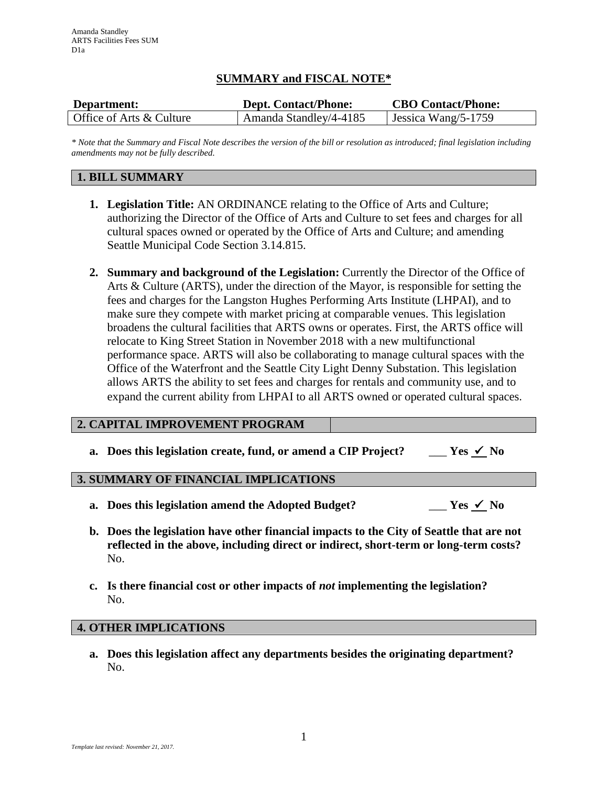# **SUMMARY and FISCAL NOTE\***

| Department:              | <b>Dept. Contact/Phone:</b> | <b>CBO Contact/Phone:</b> |
|--------------------------|-----------------------------|---------------------------|
| Office of Arts & Culture | Amanda Standley/4-4185      | Jessica Wang/5-1759       |

*\* Note that the Summary and Fiscal Note describes the version of the bill or resolution as introduced; final legislation including amendments may not be fully described.*

# **1. BILL SUMMARY**

- **1. Legislation Title:** AN ORDINANCE relating to the Office of Arts and Culture; authorizing the Director of the Office of Arts and Culture to set fees and charges for all cultural spaces owned or operated by the Office of Arts and Culture; and amending Seattle Municipal Code Section 3.14.815.
- **2. Summary and background of the Legislation:** Currently the Director of the Office of Arts & Culture (ARTS), under the direction of the Mayor, is responsible for setting the fees and charges for the Langston Hughes Performing Arts Institute (LHPAI), and to make sure they compete with market pricing at comparable venues. This legislation broadens the cultural facilities that ARTS owns or operates. First, the ARTS office will relocate to King Street Station in November 2018 with a new multifunctional performance space. ARTS will also be collaborating to manage cultural spaces with the Office of the Waterfront and the Seattle City Light Denny Substation. This legislation allows ARTS the ability to set fees and charges for rentals and community use, and to expand the current ability from LHPAI to all ARTS owned or operated cultural spaces.

### **2. CAPITAL IMPROVEMENT PROGRAM**

**a.** Does this legislation create, fund, or amend a CIP Project? \_\_\_  $Yes \n\leq No$ 

## **3. SUMMARY OF FINANCIAL IMPLICATIONS**

- **a.** Does this legislation amend the Adopted Budget?  $Y$ es  $\checkmark$  No
- **b. Does the legislation have other financial impacts to the City of Seattle that are not reflected in the above, including direct or indirect, short-term or long-term costs?** No.
- **c. Is there financial cost or other impacts of** *not* **implementing the legislation?** No.

### **4. OTHER IMPLICATIONS**

**a. Does this legislation affect any departments besides the originating department?** No.